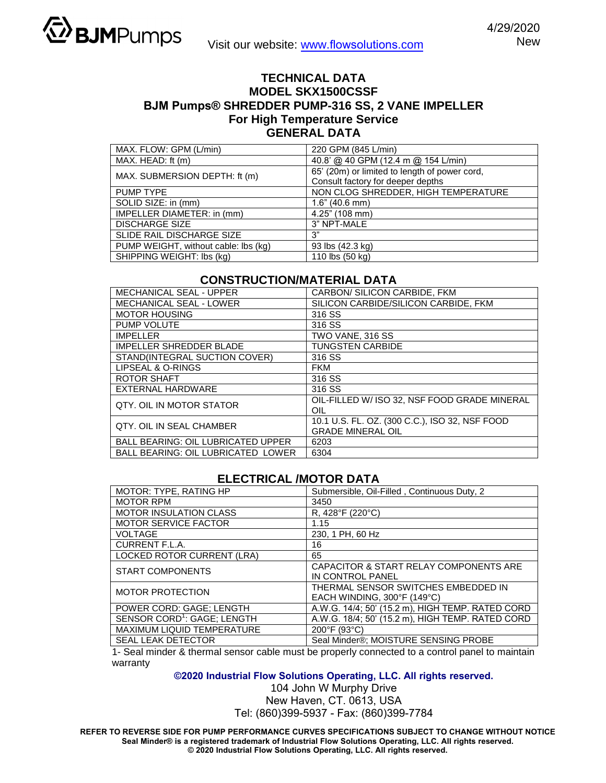

## **TECHNICAL DATA MODEL SKX1500CSSF BJM Pumps® SHREDDER PUMP-316 SS, 2 VANE IMPELLER For High Temperature Service GENERAL DATA**

| MAX. FLOW: GPM (L/min)               | 220 GPM (845 L/min)                           |
|--------------------------------------|-----------------------------------------------|
| MAX. HEAD: ft (m)                    | 40.8' @ 40 GPM (12.4 m @ 154 L/min)           |
| MAX. SUBMERSION DEPTH: ft (m)        | 65' (20m) or limited to length of power cord, |
|                                      | Consult factory for deeper depths             |
| PUMP TYPE                            | NON CLOG SHREDDER, HIGH TEMPERATURE           |
| SOLID SIZE: in (mm)                  | $1.6$ " (40.6 mm)                             |
| IMPELLER DIAMETER: in (mm)           | $4.25$ " (108 mm)                             |
| <b>DISCHARGE SIZE</b>                | 3" NPT-MALE                                   |
| SLIDE RAIL DISCHARGE SIZE            | 3"                                            |
| PUMP WEIGHT, without cable: lbs (kg) | 93 lbs (42.3 kg)                              |
| SHIPPING WEIGHT: Ibs (kg)            | 110 lbs (50 kg)                               |

## **CONSTRUCTION/MATERIAL DATA**

| <b>MECHANICAL SEAL - UPPER</b>            | CARBON/ SILICON CARBIDE, FKM                   |
|-------------------------------------------|------------------------------------------------|
| <b>MECHANICAL SEAL - LOWER</b>            | SILICON CARBIDE/SILICON CARBIDE, FKM           |
| <b>MOTOR HOUSING</b>                      | 316 SS                                         |
| PUMP VOLUTE                               | 316 SS                                         |
| <b>IMPELLER</b>                           | TWO VANE, 316 SS                               |
| <b>IMPELLER SHREDDER BLADE</b>            | <b>TUNGSTEN CARBIDE</b>                        |
| STAND(INTEGRAL SUCTION COVER)             | 316 SS                                         |
| LIPSEAL & O-RINGS                         | <b>FKM</b>                                     |
| ROTOR SHAFT                               | 316 SS                                         |
| EXTERNAL HARDWARE                         | 316 SS                                         |
| OTY. OIL IN MOTOR STATOR                  | OIL-FILLED W/ ISO 32, NSF FOOD GRADE MINERAL   |
|                                           | OIL                                            |
| <b>QTY, OIL IN SEAL CHAMBER</b>           | 10.1 U.S. FL. OZ. (300 C.C.), ISO 32, NSF FOOD |
|                                           | <b>GRADE MINERAL OIL</b>                       |
| <b>BALL BEARING: OIL LUBRICATED UPPER</b> | 6203                                           |
| <b>BALL BEARING: OIL LUBRICATED LOWER</b> | 6304                                           |

## **ELECTRICAL /MOTOR DATA**

| MOTOR: TYPE, RATING HP                  | Submersible, Oil-Filled, Continuous Duty, 2      |
|-----------------------------------------|--------------------------------------------------|
| <b>MOTOR RPM</b>                        | 3450                                             |
| <b>MOTOR INSULATION CLASS</b>           | R, 428°F (220°C)                                 |
| <b>MOTOR SERVICE FACTOR</b>             | 1.15                                             |
| <b>VOLTAGE</b>                          | 230, 1 PH, 60 Hz                                 |
| CURRENT F.L.A.                          | 16                                               |
| <b>LOCKED ROTOR CURRENT (LRA)</b>       | 65                                               |
| <b>START COMPONENTS</b>                 | CAPACITOR & START RELAY COMPONENTS ARE           |
|                                         | IN CONTROL PANEL                                 |
| <b>MOTOR PROTECTION</b>                 | THERMAL SENSOR SWITCHES EMBEDDED IN              |
|                                         | EACH WINDING, 300°F (149°C)                      |
| POWER CORD: GAGE; LENGTH                | A.W.G. 14/4; 50' (15.2 m), HIGH TEMP. RATED CORD |
| SENSOR CORD <sup>1</sup> : GAGE; LENGTH | A.W.G. 18/4; 50' (15.2 m), HIGH TEMP. RATED CORD |
| MAXIMUM LIQUID TEMPERATURE              | 200°F (93°C)                                     |
| <b>SEAL LEAK DETECTOR</b>               | Seal Minder®; MOISTURE SENSING PROBE             |

1- Seal minder & thermal sensor cable must be properly connected to a control panel to maintain warranty

**©2020 Industrial Flow Solutions Operating, LLC. All rights reserved.**

104 John W Murphy Drive New Haven, CT. 0613, USA Tel: (860)399-5937 - Fax: (860)399-7784

**REFER TO REVERSE SIDE FOR PUMP PERFORMANCE CURVES SPECIFICATIONS SUBJECT TO CHANGE WITHOUT NOTICE Seal Minder® is a registered trademark of Industrial Flow Solutions Operating, LLC. All rights reserved. © 2020 Industrial Flow Solutions Operating, LLC. All rights reserved.**